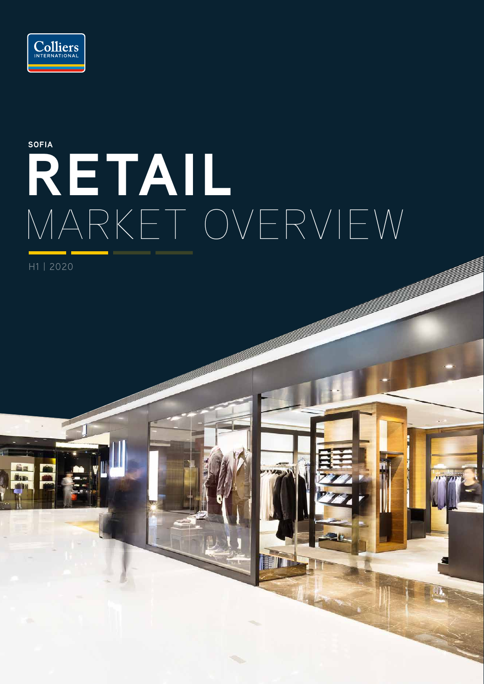

# **RETAIL** MARKET OVERVIEW **SOFIA**

H1 | 2020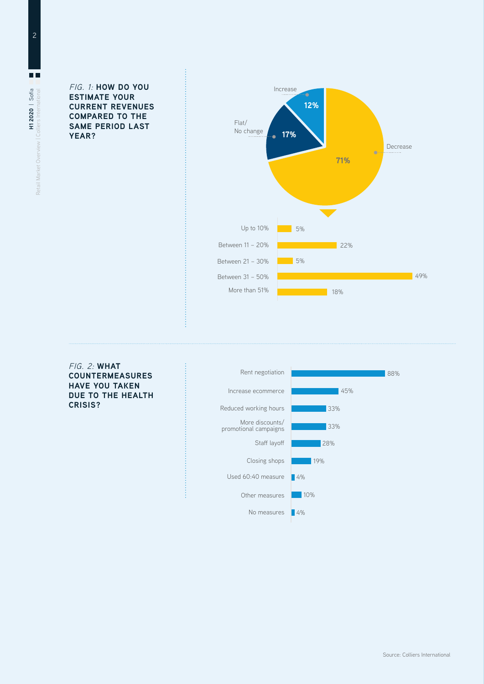FIG. 1: **HOW DO YOU ESTIMATE YOUR CURRENT REVENUES COMPARED TO THE SAME PERIOD LAST YEAR?**



FIG. 2: **WHAT COUNTERMEASURES HAVE YOU TAKEN DUE TO THE HEALTH CRISIS?**

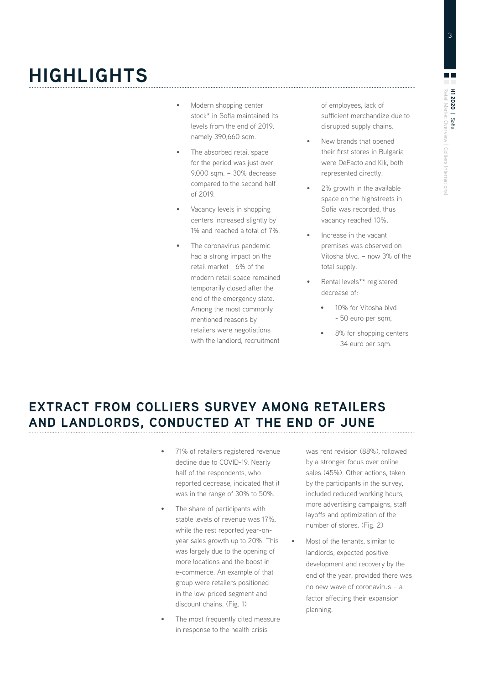# **HIGHLIGHTS**

- Modern shopping center stock\* in Sofia maintained its levels from the end of 2019, namely 390,660 sqm.
- The absorbed retail space for the period was just over 9,000 sqm. – 30% decrease compared to the second half of 2019.
- Vacancy levels in shopping centers increased slightly by 1% and reached a total of 7%.
- The coronavirus pandemic had a strong impact on the retail market - 6% of the modern retail space remained temporarily closed after the end of the emergency state. Among the most commonly mentioned reasons by retailers were negotiations with the landlord, recruitment

of employees, lack of sufficient merchandize due to disrupted supply chains.

- New brands that opened their first stores in Bulgaria were DeFacto and Kik, both represented directly.
- 2% growth in the available space on the highstreets in Sofia was recorded, thus vacancy reached 10%.
- Increase in the vacant premises was observed on Vitosha blvd. – now 3% of the total supply.
- Rental levels\*\* registered decrease of:
	- 10% for Vitosha blvd - 50 euro per sqm;
	- 8% for shopping centers - 34 euro per sqm.

### **EXTRACT FROM COLLIERS SURVEY AMONG RETAILERS AND LANDLORDS, CONDUCTED AT THE END OF JUNE**

- 71% of retailers registered revenue decline due to COVID-19. Nearly half of the respondents, who reported decrease, indicated that it was in the range of 30% to 50%.
- The share of participants with stable levels of revenue was 17%, while the rest reported year-onyear sales growth up to 20%. This was largely due to the opening of more locations and the boost in e-commerce. An example of that group were retailers positioned in the low-priced segment and discount chains. (Fig. 1)
- The most frequently cited measure in response to the health crisis

was rent revision (88%), followed by a stronger focus over online sales (45%). Other actions, taken by the participants in the survey, included reduced working hours, more advertising campaigns, staff layoffs and optimization of the number of stores. (Fig. 2)

• Most of the tenants, similar to landlords, expected positive development and recovery by the end of the year, provided there was no new wave of coronavirus – a factor affecting their expansion planning.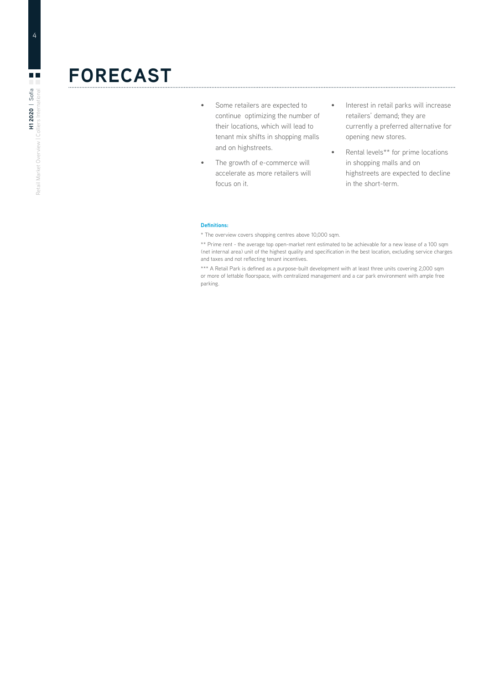## **FORECAST**

- Some retailers are expected to continue optimizing the number of their locations, which will lead to tenant mix shifts in shopping malls and on highstreets.
- The growth of e-commerce will accelerate as more retailers will focus on it.
- Interest in retail parks will increase retailers' demand; they are currently a preferred alternative for opening new stores.

• Rental levels\*\* for prime locations in shopping malls and on highstreets are expected to decline in the short-term.

#### **Definitions:**

\* The overview covers shopping centres above 10,000 sqm.

\*\* Prime rent - the average top open-market rent estimated to be achievable for a new lease of a 100 sqm (net internal area) unit of the highest quality and specification in the best location, excluding service charges and taxes and not reflecting tenant incentives.

\*\*\* A Retail Park is defined as a purpose-built development with at least three units covering 2,000 sqm or more of lettable floorspace, with centralized management and a car park environment with ample free parking.